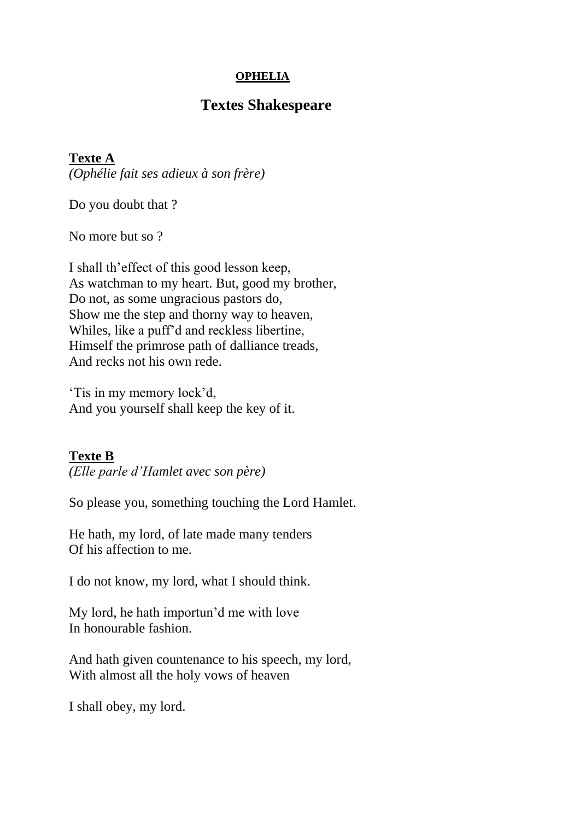### **OPHELIA**

# **Textes Shakespeare**

### **Texte A**

*(Ophélie fait ses adieux à son frère)*

Do you doubt that ?

No more but so ?

I shall th'effect of this good lesson keep, As watchman to my heart. But, good my brother, Do not, as some ungracious pastors do, Show me the step and thorny way to heaven, Whiles, like a puff'd and reckless libertine, Himself the primrose path of dalliance treads, And recks not his own rede.

'Tis in my memory lock'd, And you yourself shall keep the key of it.

### **Texte B**

*(Elle parle d'Hamlet avec son père)*

So please you, something touching the Lord Hamlet.

He hath, my lord, of late made many tenders Of his affection to me.

I do not know, my lord, what I should think.

My lord, he hath importun'd me with love In honourable fashion.

And hath given countenance to his speech, my lord, With almost all the holy vows of heaven

I shall obey, my lord.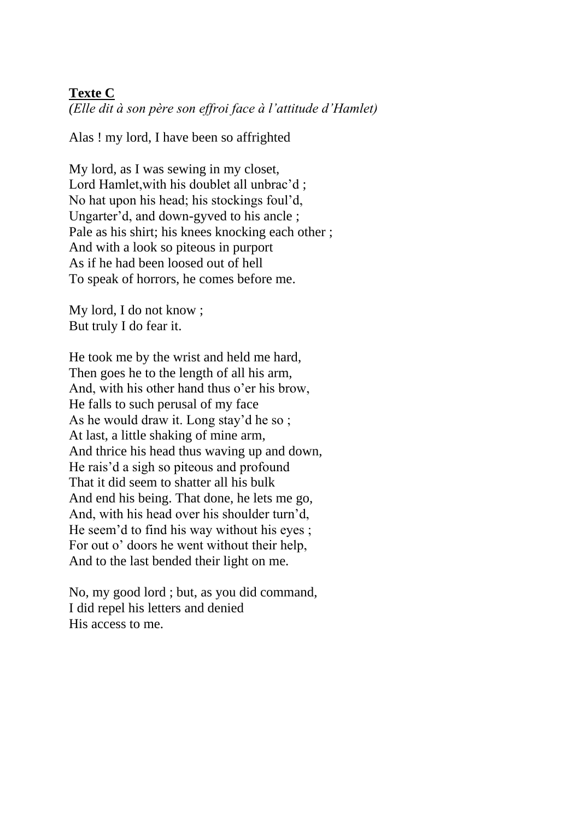## **Texte C**

*(Elle dit à son père son effroi face à l'attitude d'Hamlet)*

Alas ! my lord, I have been so affrighted

My lord, as I was sewing in my closet, Lord Hamlet, with his doublet all unbrac'd; No hat upon his head; his stockings foul'd, Ungarter'd, and down-gyved to his ancle ; Pale as his shirt; his knees knocking each other ; And with a look so piteous in purport As if he had been loosed out of hell To speak of horrors, he comes before me.

My lord, I do not know ; But truly I do fear it.

He took me by the wrist and held me hard, Then goes he to the length of all his arm, And, with his other hand thus o'er his brow, He falls to such perusal of my face As he would draw it. Long stay'd he so ; At last, a little shaking of mine arm, And thrice his head thus waving up and down, He rais'd a sigh so piteous and profound That it did seem to shatter all his bulk And end his being. That done, he lets me go, And, with his head over his shoulder turn'd, He seem'd to find his way without his eyes ; For out o' doors he went without their help, And to the last bended their light on me.

No, my good lord ; but, as you did command, I did repel his letters and denied His access to me.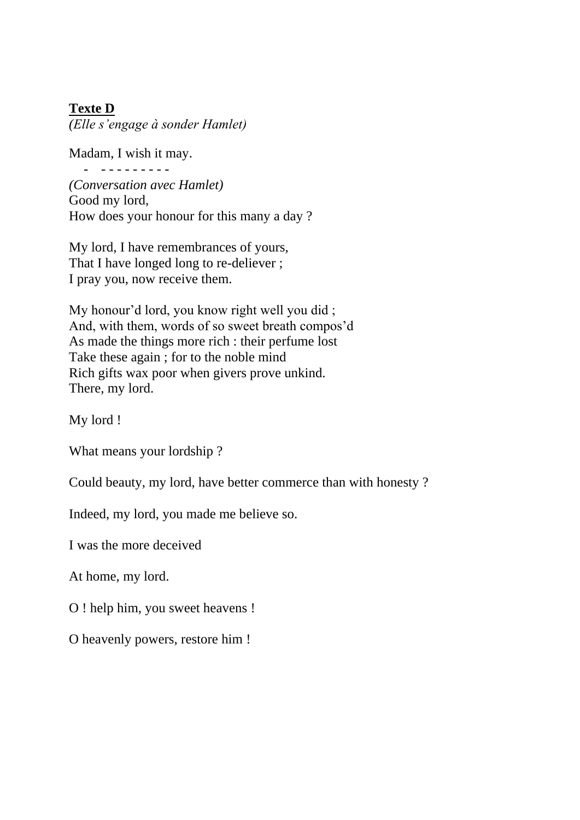### **Texte D**

*(Elle s'engage à sonder Hamlet)*

Madam, I wish it may. - - - - - - - - - -

*(Conversation avec Hamlet)* Good my lord, How does your honour for this many a day ?

My lord, I have remembrances of yours, That I have longed long to re-deliever ; I pray you, now receive them.

My honour'd lord, you know right well you did ; And, with them, words of so sweet breath compos'd As made the things more rich : their perfume lost Take these again ; for to the noble mind Rich gifts wax poor when givers prove unkind. There, my lord.

My lord !

What means your lordship ?

Could beauty, my lord, have better commerce than with honesty ?

Indeed, my lord, you made me believe so.

I was the more deceived

At home, my lord.

O ! help him, you sweet heavens !

O heavenly powers, restore him !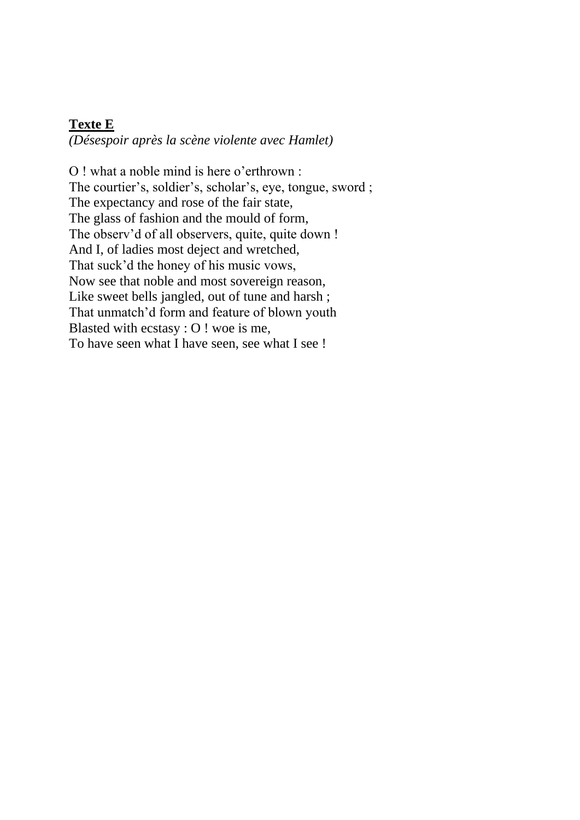#### **Texte E**

*(Désespoir après la scène violente avec Hamlet)*

O ! what a noble mind is here o'erthrown : The courtier's, soldier's, scholar's, eye, tongue, sword ; The expectancy and rose of the fair state, The glass of fashion and the mould of form, The observ'd of all observers, quite, quite down ! And I, of ladies most deject and wretched, That suck'd the honey of his music vows, Now see that noble and most sovereign reason, Like sweet bells jangled, out of tune and harsh; That unmatch'd form and feature of blown youth Blasted with ecstasy : O ! woe is me, To have seen what I have seen, see what I see !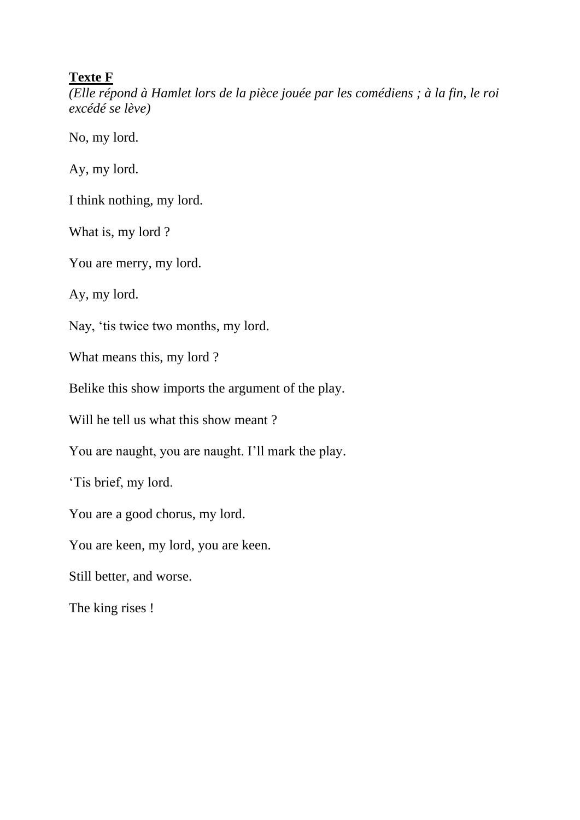### **Texte F**

*(Elle répond à Hamlet lors de la pièce jouée par les comédiens ; à la fin, le roi excédé se lève)*

No, my lord.

Ay, my lord.

I think nothing, my lord.

What is, my lord?

You are merry, my lord.

Ay, my lord.

Nay, 'tis twice two months, my lord.

What means this, my lord ?

Belike this show imports the argument of the play.

Will he tell us what this show meant?

You are naught, you are naught. I'll mark the play.

'Tis brief, my lord.

You are a good chorus, my lord.

You are keen, my lord, you are keen.

Still better, and worse.

The king rises !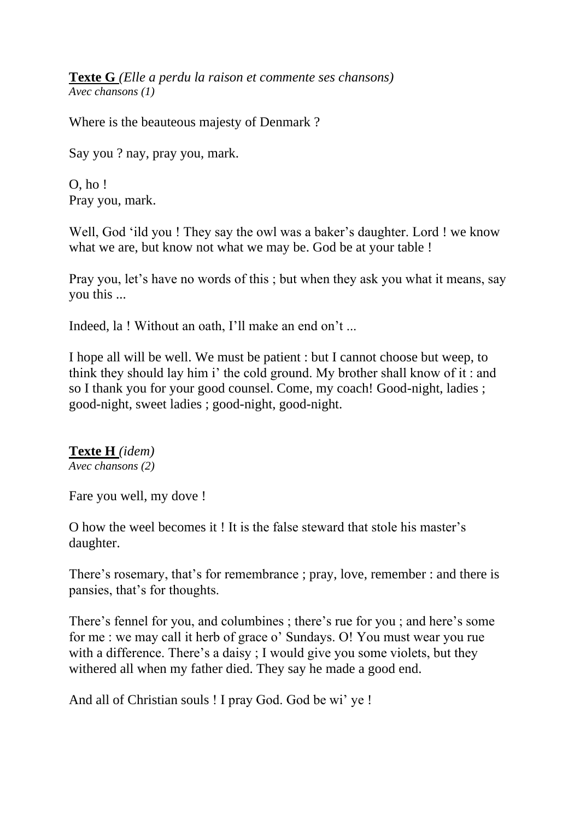**Texte G** *(Elle a perdu la raison et commente ses chansons) Avec chansons (1)*

Where is the beauteous majesty of Denmark ?

Say you ? nay, pray you, mark.

O, ho ! Pray you, mark.

Well, God 'ild you ! They say the owl was a baker's daughter. Lord ! we know what we are, but know not what we may be. God be at your table !

Pray you, let's have no words of this ; but when they ask you what it means, say you this ...

Indeed, la ! Without an oath, I'll make an end on't ...

I hope all will be well. We must be patient : but I cannot choose but weep, to think they should lay him i' the cold ground. My brother shall know of it : and so I thank you for your good counsel. Come, my coach! Good-night, ladies ; good-night, sweet ladies ; good-night, good-night.

# **Texte H** *(idem)*

*Avec chansons (2)*

Fare you well, my dove !

O how the weel becomes it ! It is the false steward that stole his master's daughter.

There's rosemary, that's for remembrance ; pray, love, remember : and there is pansies, that's for thoughts.

There's fennel for you, and columbines ; there's rue for you ; and here's some for me : we may call it herb of grace o' Sundays. O! You must wear you rue with a difference. There's a daisy; I would give you some violets, but they withered all when my father died. They say he made a good end.

And all of Christian souls ! I pray God. God be wi' ye !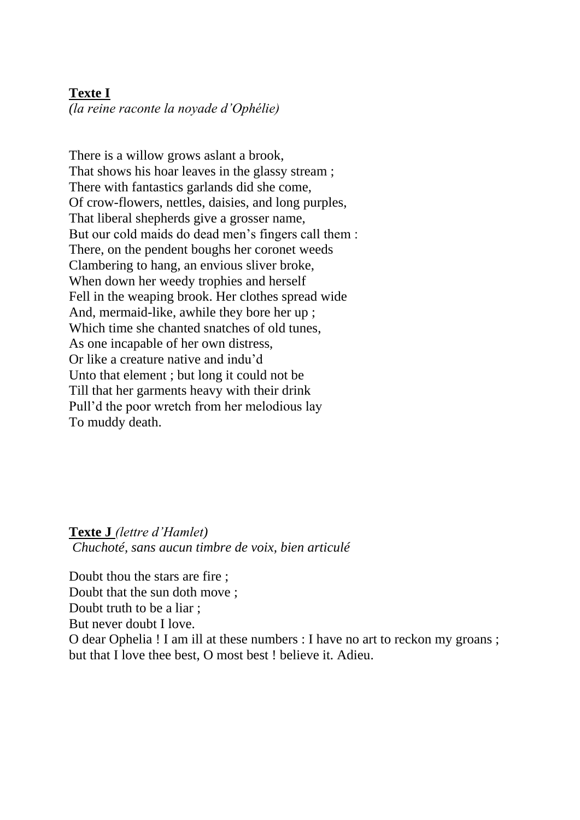### **Texte I**

*(la reine raconte la noyade d'Ophélie)*

There is a willow grows aslant a brook, That shows his hoar leaves in the glassy stream ; There with fantastics garlands did she come, Of crow-flowers, nettles, daisies, and long purples, That liberal shepherds give a grosser name, But our cold maids do dead men's fingers call them : There, on the pendent boughs her coronet weeds Clambering to hang, an envious sliver broke, When down her weedy trophies and herself Fell in the weaping brook. Her clothes spread wide And, mermaid-like, awhile they bore her up ; Which time she chanted snatches of old tunes, As one incapable of her own distress, Or like a creature native and indu'd Unto that element ; but long it could not be Till that her garments heavy with their drink Pull'd the poor wretch from her melodious lay To muddy death.

**Texte J** *(lettre d'Hamlet) Chuchoté, sans aucun timbre de voix, bien articulé*

Doubt thou the stars are fire ; Doubt that the sun doth move ; Doubt truth to be a liar ; But never doubt I love. O dear Ophelia ! I am ill at these numbers : I have no art to reckon my groans ; but that I love thee best, O most best ! believe it. Adieu.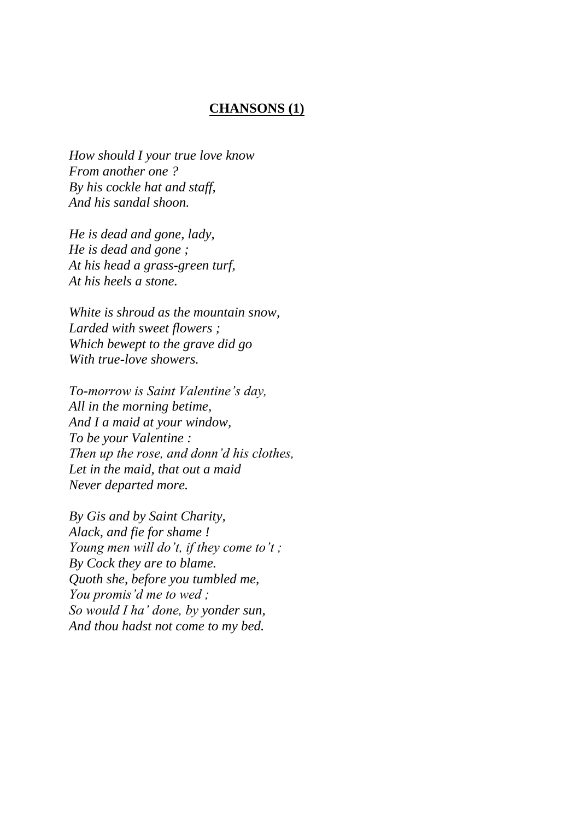#### **CHANSONS (1)**

*How should I your true love know From another one ? By his cockle hat and staff, And his sandal shoon.*

*He is dead and gone, lady, He is dead and gone ; At his head a grass-green turf, At his heels a stone.*

*White is shroud as the mountain snow, Larded with sweet flowers ; Which bewept to the grave did go With true-love showers.*

*To-morrow is Saint Valentine's day, All in the morning betime, And I a maid at your window, To be your Valentine : Then up the rose, and donn'd his clothes, Let in the maid, that out a maid Never departed more.*

*By Gis and by Saint Charity, Alack, and fie for shame ! Young men will do't, if they come to't ; By Cock they are to blame. Quoth she, before you tumbled me, You promis'd me to wed ; So would I ha' done, by yonder sun, And thou hadst not come to my bed.*